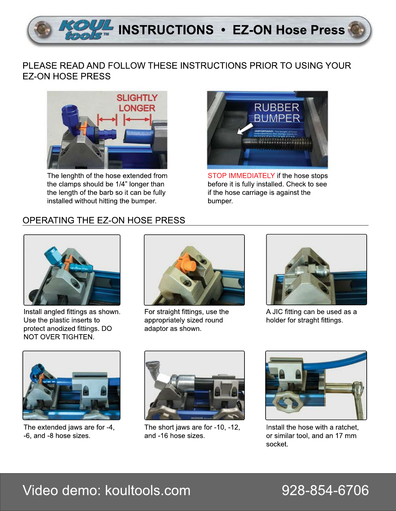

## PLEASE READ AND FOLLOW THESE INSTRUCTIONS PRIOR TO USING YOUR **EZ-ON HOSE PRESS**



The lenghth of the hose extended from the clamps should be 1/4" longer than the length of the barb so it can be fully installed without hitting the bumper.



STOP IMMEDIATELY if the hose stops before it is fully installed. Check to see if the hose carriage is against the bumper.

## OPERATING THE EZ-ON HOSE PRESS



Install angled fittings as shown. Use the plastic inserts to protect anodized fittings. DO NOT OVER TIGHTEN.



For straight fittings, use the appropriately sized round adaptor as shown.



A JIC fitting can be used as a holder for straght fittings.



The extended jaws are for -4, -6, and -8 hose sizes.



The short jaws are for -10, -12, and -16 hose sizes.



Install the hose with a ratchet. or similar tool, and an 17 mm socket.

# Video demo: koultools.com

## 928-854-6706